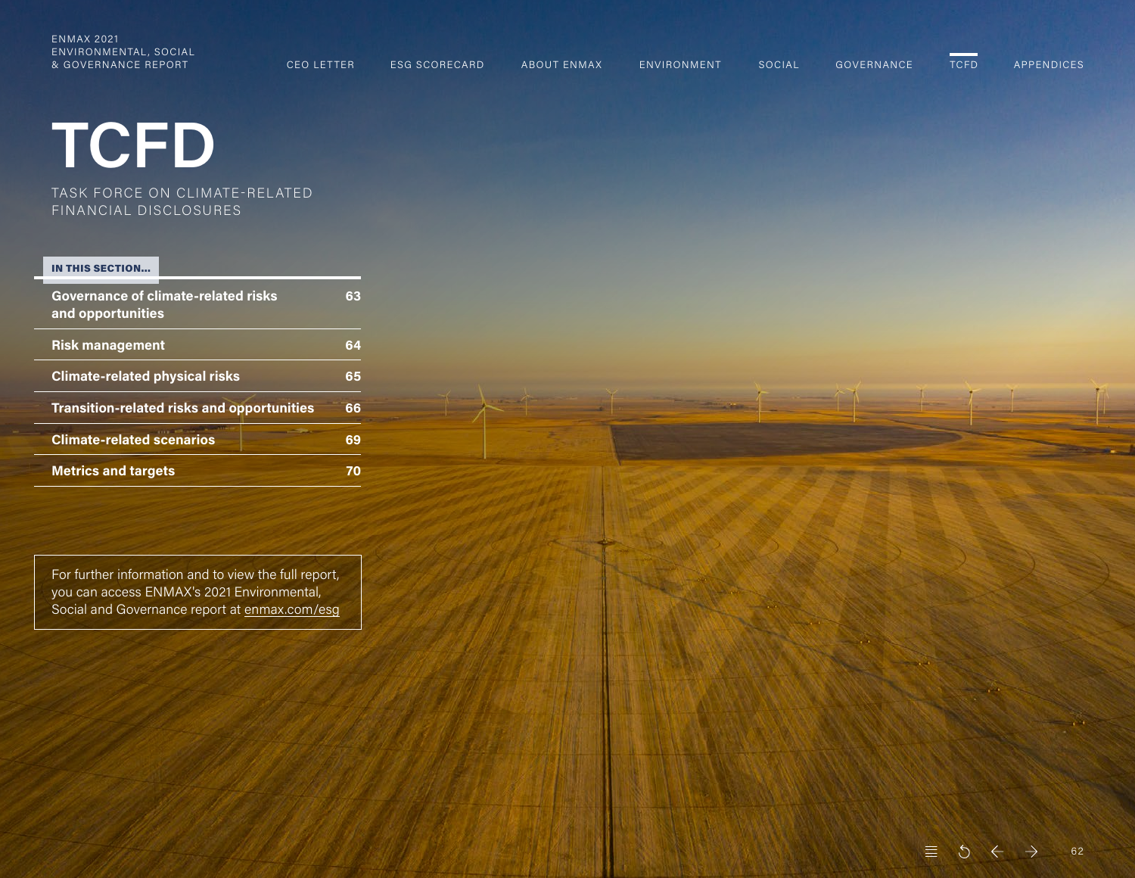<span id="page-0-0"></span>ENMAX 2021 ENVIRONMENTAL, SOCIAL & GOVERNANCE REPORT CEO LETTER ESG SCORECARD ABOUT ENMAX ENVIRONMENT SOCIAL GOVERNANCE TCFD APPENDICES

# **TCFD**

TASK FORCE ON CLIMATE-REL ATED FINANCIAL DISCLOSURES

#### IN THIS SECTION…

| <b>Governance of climate-related risks</b><br>and opportunities | 63 |
|-----------------------------------------------------------------|----|
| <b>Risk management</b>                                          | 64 |
| <b>Climate-related physical risks</b>                           | 65 |
| <b>Transition-related risks and opportunities</b>               | 66 |
| <b>Climate-related scenarios</b>                                | 69 |
| <b>Metrics and targets</b>                                      |    |

For further information and to view the full report, you can access ENMAX's 2021 Environmental, Social and Governance report at [enmax.com/esg](https://www.enmax.com/about-us/sustainability/overview/esg-report)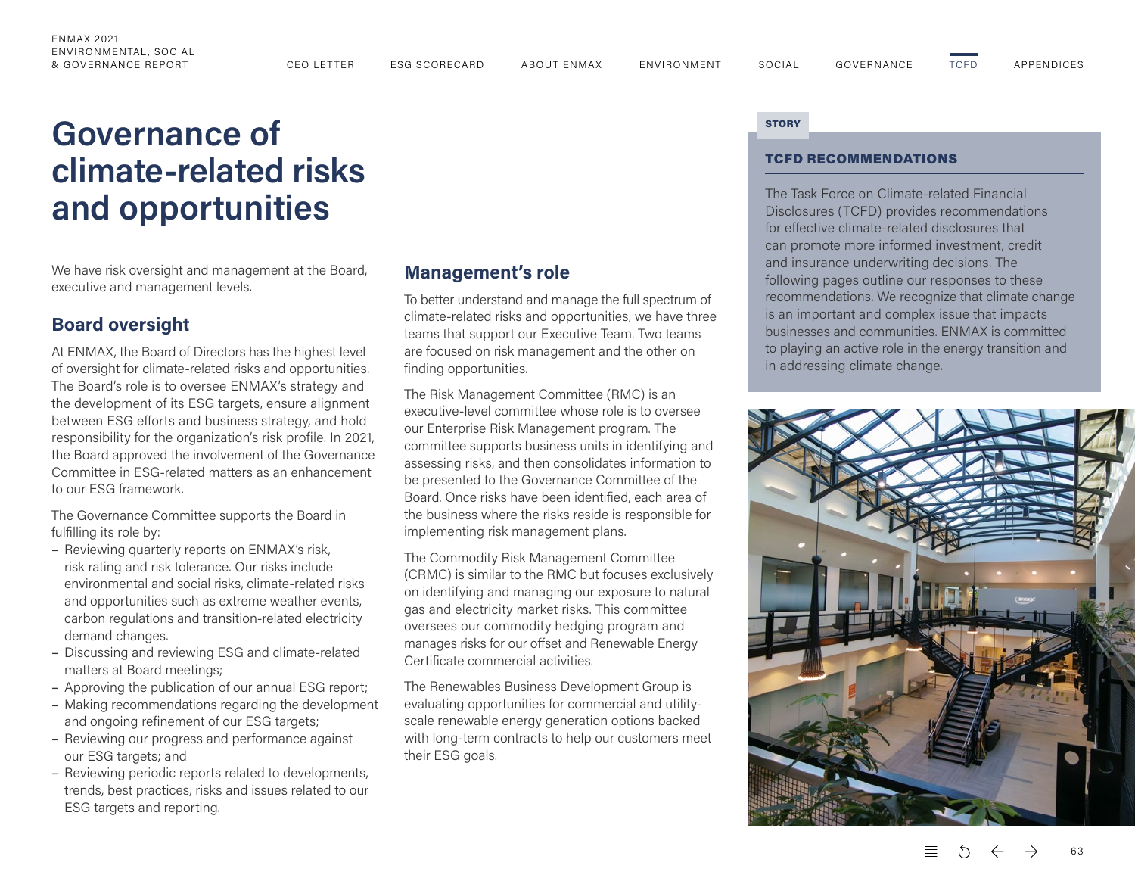### <span id="page-1-0"></span>ENMAX 2021 ENVIRONMENTAL, SOCIAL

[TCFD](#page-0-0)

# **Governance of climate-related risks and opportunities**

We have risk oversight and management at the Board, executive and management levels.

### **Board oversight**

At ENMAX, the Board of Directors has the highest level of oversight for climate-related risks and opportunities. The Board's role is to oversee ENMAX's strategy and the development of its ESG targets, ensure alignment between ESG efforts and business strategy, and hold responsibility for the organization's risk profile. In 2021, the Board approved the involvement of the Governance Committee in ESG-related matters as an enhancement to our ESG framework.

The Governance Committee supports the Board in fulfilling its role by:

- Reviewing quarterly reports on ENMAX's risk, risk rating and risk tolerance. Our risks include environmental and social risks, climate-related risks and opportunities such as extreme weather events, carbon regulations and transition-related electricity demand changes.
- Discussing and reviewing ESG and climate-related matters at Board meetings;
- Approving the publication of our annual ESG report;
- Making recommendations regarding the development and ongoing refinement of our ESG targets;
- Reviewing our progress and performance against our ESG targets; and
- Reviewing periodic reports related to developments, trends, best practices, risks and issues related to our ESG targets and reporting.

### **Management's role**

To better understand and manage the full spectrum of climate-related risks and opportunities, we have three teams that support our Executive Team. Two teams are focused on risk management and the other on finding opportunities.

The Risk Management Committee (RMC) is an executive-level committee whose role is to oversee our Enterprise Risk Management program. The committee supports business units in identifying and assessing risks, and then consolidates information to be presented to the Governance Committee of the Board. Once risks have been identified, each area of the business where the risks reside is responsible for implementing risk management plans.

The Commodity Risk Management Committee (CRMC) is similar to the RMC but focuses exclusively on identifying and managing our exposure to natural gas and electricity market risks. This committee oversees our commodity hedging program and manages risks for our offset and Renewable Energy Certificate commercial activities.

The Renewables Business Development Group is evaluating opportunities for commercial and utilityscale renewable energy generation options backed with long-term contracts to help our customers meet their ESG goals.

#### **STORY**

### TCFD RECOMMENDATIONS

The Task Force on Climate-related Financial Disclosures (TCFD) provides recommendations for effective climate-related disclosures that can promote more informed investment, credit and insurance underwriting decisions. The following pages outline our responses to these recommendations. We recognize that climate change is an important and complex issue that impacts businesses and communities. ENMAX is committed to playing an active role in the energy transition and in addressing climate change.



63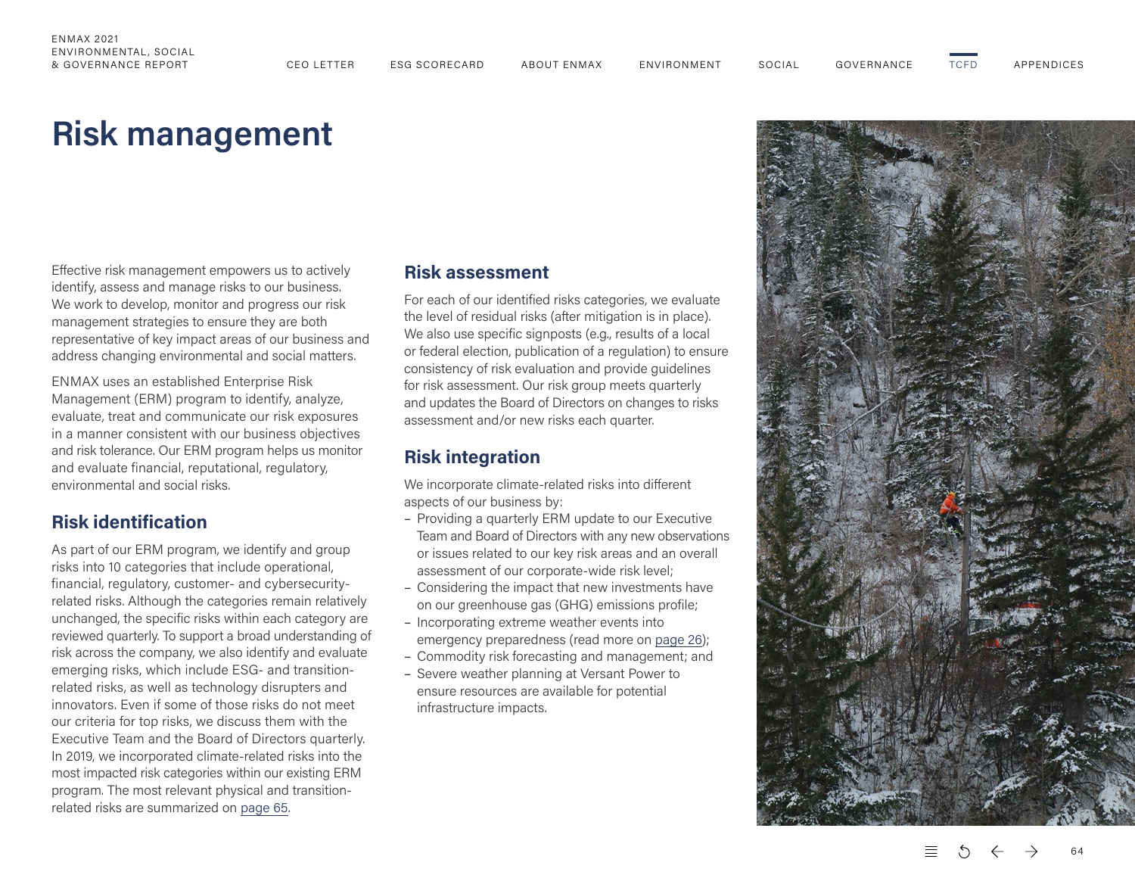# <span id="page-2-0"></span>**Risk management**

Effective risk management empowers us to actively identify, assess and manage risks to our business. We work to develop, monitor and progress our risk management strategies to ensure they are both representative of key impact areas of our business and address changing environmental and social matters.

ENMAX uses an established Enterprise Risk Management (ERM) program to identify, analyze, evaluate, treat and communicate our risk exposures in a manner consistent with our business objectives and risk tolerance. Our ERM program helps us monitor and evaluate financial, reputational, regulatory, environmental and social risks.

# **Risk identification**

As part of our ERM program, we identify and group risks into 10 categories that include operational, financial, regulatory, customer- and cybersecurityrelated risks. Although the categories remain relatively unchanged, the specific risks within each category are reviewed quarterly. To support a broad understanding of risk across the company, we also identify and evaluate emerging risks, which include ESG- and transitionrelated risks, as well as technology disrupters and innovators. Even if some of those risks do not meet our criteria for top risks, we discuss them with the Executive Team and the Board of Directors quarterly. In 2019, we incorporated climate-related risks into the most impacted risk categories within our existing ERM program. The most relevant physical and transitionrelated risks are summarized on [page 65.](#page-3-0)

### **Risk assessment**

For each of our identified risks categories, we evaluate the level of residual risks (after mitigation is in place). We also use specific signposts (e.g., results of a local or federal election, publication of a regulation) to ensure consistency of risk evaluation and provide guidelines for risk assessment. Our risk group meets quarterly and updates the Board of Directors on changes to risks assessment and/or new risks each quarter.

### **Risk integration**

We incorporate climate-related risks into different aspects of our business by:

- Providing a quarterly ERM update to our Executive Team and Board of Directors with any new observations or issues related to our key risk areas and an overall assessment of our corporate-wide risk level;
- Considering the impact that new investments have on our greenhouse gas (GHG) emissions profile;
- Incorporating extreme weather events into emergency preparedness (read more on page 26);
- Commodity risk forecasting and management; and
- Severe weather planning at Versant Power to ensure resources are available for potential infrastructure impacts.



64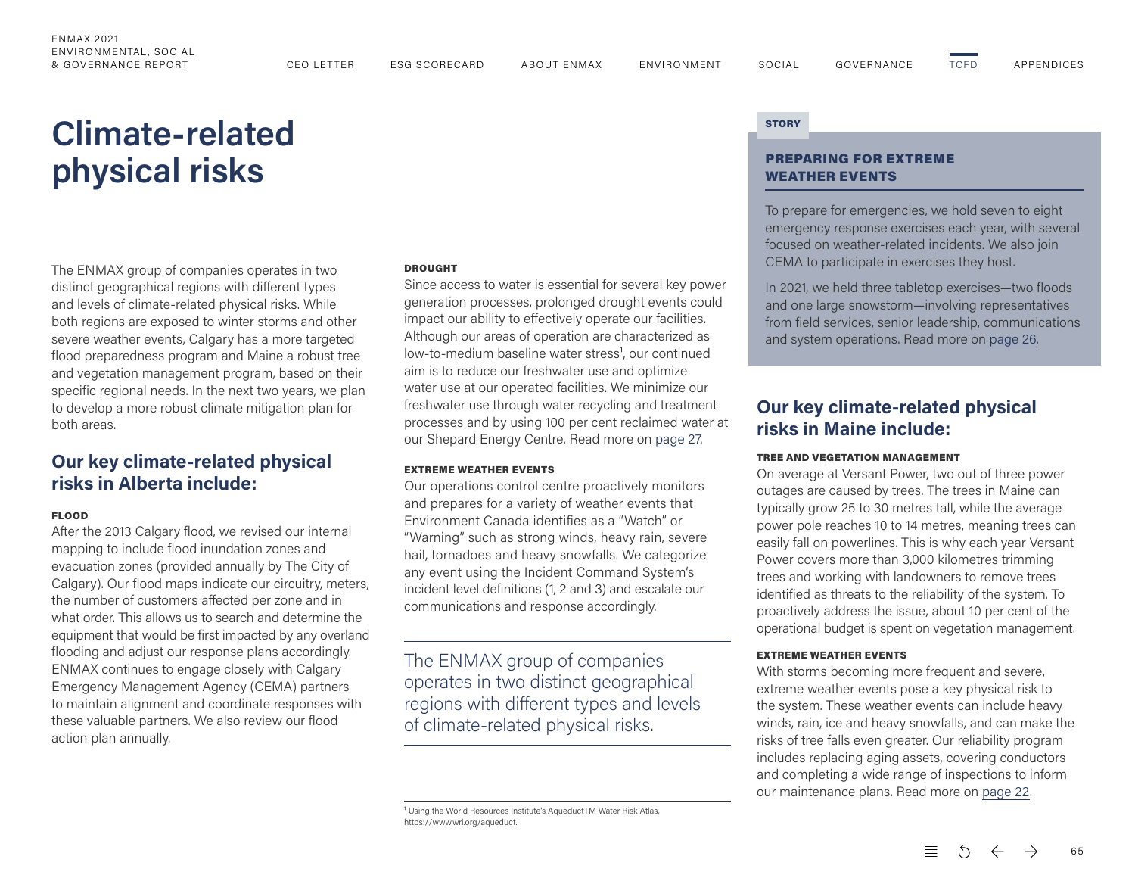# <span id="page-3-0"></span>**Climate-related physical risks** PREPARING FOR EXTREME

The ENMAX group of companies operates in two distinct geographical regions with different types and levels of climate-related physical risks. While both regions are exposed to winter storms and other severe weather events, Calgary has a more targeted flood preparedness program and Maine a robust tree and vegetation management program, based on their specific regional needs. In the next two years, we plan to develop a more robust climate mitigation plan for both areas.

## **Our key climate-related physical risks in Alberta include:**

#### FLOOD

After the 2013 Calgary flood, we revised our internal mapping to include flood inundation zones and evacuation zones (provided annually by The City of Calgary). Our flood maps indicate our circuitry, meters, the number of customers affected per zone and in what order. This allows us to search and determine the equipment that would be first impacted by any overland flooding and adjust our response plans accordingly. ENMAX continues to engage closely with Calgary Emergency Management Agency (CEMA) partners to maintain alignment and coordinate responses with these valuable partners. We also review our flood action plan annually.

#### DROUGHT

Since access to water is essential for several key power generation processes, prolonged drought events could impact our ability to effectively operate our facilities. Although our areas of operation are characterized as low-to-medium baseline water stress<sup>1</sup>, our continued aim is to reduce our freshwater use and optimize water use at our operated facilities. We minimize our freshwater use through water recycling and treatment processes and by using 100 per cent reclaimed water at our Shepard Energy Centre. Read more on page 27.

#### EXTREME WEATHER EVENTS

Our operations control centre proactively monitors and prepares for a variety of weather events that Environment Canada identifies as a "Watch" or "Warning" such as strong winds, heavy rain, severe hail, tornadoes and heavy snowfalls. We categorize any event using the Incident Command System's incident level definitions (1, 2 and 3) and escalate our communications and response accordingly.

The ENMAX group of companies operates in two distinct geographical regions with different types and levels of climate-related physical risks.

<sup>1</sup> Using the World Resources Institute's AqueductTM Water Risk Atlas, https://www.wri.org/aqueduct.

#### **STORY**

# WEATHER EVENTS

To prepare for emergencies, we hold seven to eight emergency response exercises each year, with several focused on weather-related incidents. We also join CEMA to participate in exercises they host.

In 2021, we held three tabletop exercises—two floods and one large snowstorm—involving representatives from field services, senior leadership, communications and system operations. Read more on page 26.

### **Our key climate-related physical risks in Maine include:**

#### TREE AND VEGETATION MANAGEMENT

On average at Versant Power, two out of three power outages are caused by trees. The trees in Maine can typically grow 25 to 30 metres tall, while the average power pole reaches 10 to 14 metres, meaning trees can easily fall on powerlines. This is why each year Versant Power covers more than 3,000 kilometres trimming trees and working with landowners to remove trees identified as threats to the reliability of the system. To proactively address the issue, about 10 per cent of the operational budget is spent on vegetation management.

#### EXTREME WEATHER EVENTS

With storms becoming more frequent and severe, extreme weather events pose a key physical risk to the system. These weather events can include heavy winds, rain, ice and heavy snowfalls, and can make the risks of tree falls even greater. Our reliability program includes replacing aging assets, covering conductors and completing a wide range of inspections to inform our maintenance plans. Read more on page 22.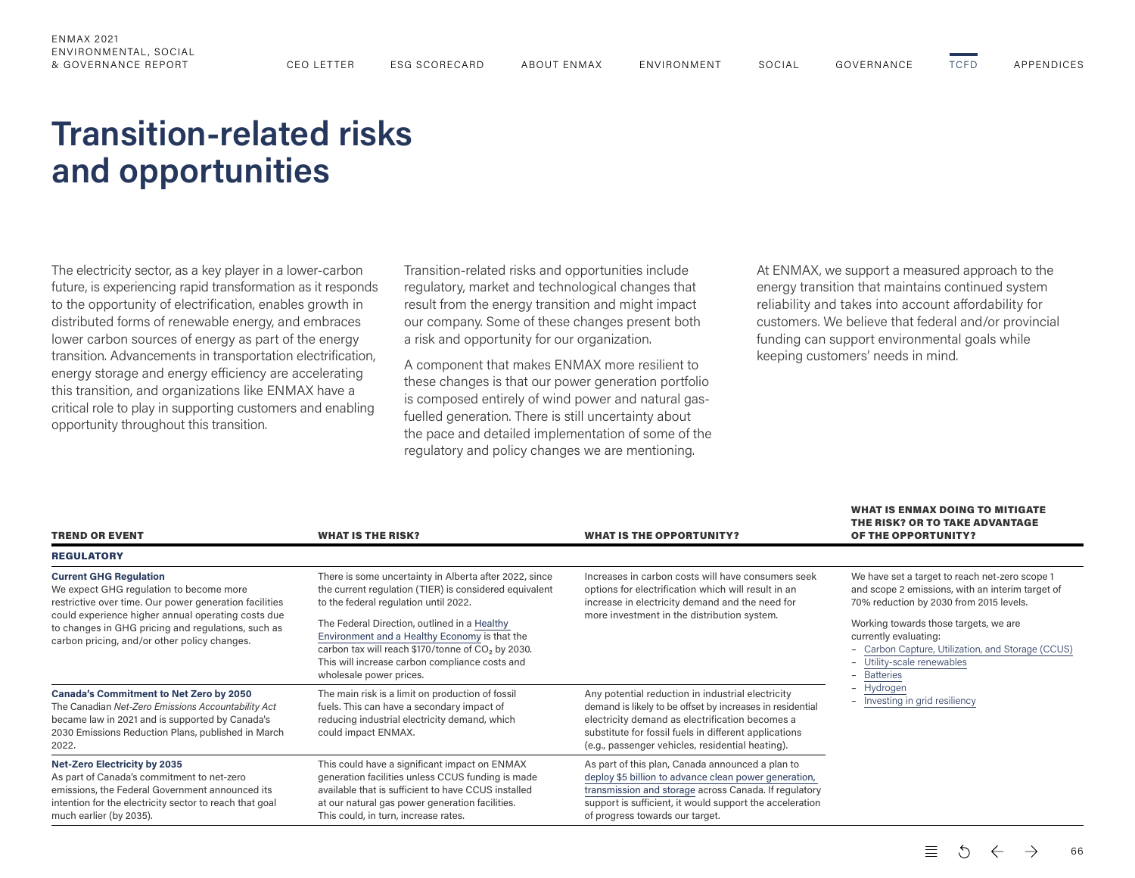# <span id="page-4-0"></span>**Transition-related risks and opportunities**

The electricity sector, as a key player in a lower-carbon future, is experiencing rapid transformation as it responds to the opportunity of electrification, enables growth in distributed forms of renewable energy, and embraces lower carbon sources of energy as part of the energy transition. Advancements in transportation electrification, energy storage and energy efficiency are accelerating this transition, and organizations like ENMAX have a critical role to play in supporting customers and enabling opportunity throughout this transition.

Transition-related risks and opportunities include regulatory, market and technological changes that result from the energy transition and might impact our company. Some of these changes present both a risk and opportunity for our organization.

A component that makes ENMAX more resilient to these changes is that our power generation portfolio is composed entirely of wind power and natural gas‐ fuelled generation. There is still uncertainty about the pace and detailed implementation of some of the regulatory and policy changes we are mentioning.

At ENMAX, we support a measured approach to the energy transition that maintains continued system reliability and takes into account affordability for customers. We believe that federal and/or provincial funding can support environmental goals while keeping customers' needs in mind.

WHAT IS FNMAY DOING TO MITIGATE

| <b>TREND OR EVENT</b>                                                                                                                                                                                                                                                                          | <b>WHAT IS THE RISK?</b>                                                                                                                                                                                                                                                                                                                                                                                 | <b>WHAT IS THE OPPORTUNITY?</b>                                                                                                                                                                                                                                                | THE RISK? OR TO TAKE ADVANTAGE<br>OF THE OPPORTUNITY?                                                                                                                                                                                                                                                             |  |
|------------------------------------------------------------------------------------------------------------------------------------------------------------------------------------------------------------------------------------------------------------------------------------------------|----------------------------------------------------------------------------------------------------------------------------------------------------------------------------------------------------------------------------------------------------------------------------------------------------------------------------------------------------------------------------------------------------------|--------------------------------------------------------------------------------------------------------------------------------------------------------------------------------------------------------------------------------------------------------------------------------|-------------------------------------------------------------------------------------------------------------------------------------------------------------------------------------------------------------------------------------------------------------------------------------------------------------------|--|
| <b>REGULATORY</b>                                                                                                                                                                                                                                                                              |                                                                                                                                                                                                                                                                                                                                                                                                          |                                                                                                                                                                                                                                                                                |                                                                                                                                                                                                                                                                                                                   |  |
| <b>Current GHG Regulation</b><br>We expect GHG regulation to become more<br>restrictive over time. Our power generation facilities<br>could experience higher annual operating costs due<br>to changes in GHG pricing and regulations, such as<br>carbon pricing, and/or other policy changes. | There is some uncertainty in Alberta after 2022, since<br>the current regulation (TIER) is considered equivalent<br>to the federal regulation until 2022.<br>The Federal Direction, outlined in a Healthy<br>Environment and a Healthy Economy is that the<br>carbon tax will reach \$170/tonne of CO <sub>2</sub> by 2030.<br>This will increase carbon compliance costs and<br>wholesale power prices. | Increases in carbon costs will have consumers seek<br>options for electrification which will result in an<br>increase in electricity demand and the need for<br>more investment in the distribution system.                                                                    | We have set a target to reach net-zero scope 1<br>and scope 2 emissions, with an interim target of<br>70% reduction by 2030 from 2015 levels.<br>Working towards those targets, we are<br>currently evaluating:<br>- Carbon Capture, Utilization, and Storage (CCUS)<br>- Utility-scale renewables<br>- Batteries |  |
| Canada's Commitment to Net Zero by 2050<br>The Canadian Net-Zero Emissions Accountability Act<br>became law in 2021 and is supported by Canada's<br>2030 Emissions Reduction Plans, published in March<br>2022.                                                                                | The main risk is a limit on production of fossil<br>fuels. This can have a secondary impact of<br>reducing industrial electricity demand, which<br>could impact ENMAX.                                                                                                                                                                                                                                   | Any potential reduction in industrial electricity<br>demand is likely to be offset by increases in residential<br>electricity demand as electrification becomes a<br>substitute for fossil fuels in different applications<br>(e.g., passenger vehicles, residential heating). | - Hydrogen<br>- Investing in grid resiliency                                                                                                                                                                                                                                                                      |  |
| <b>Net-Zero Electricity by 2035</b><br>As part of Canada's commitment to net-zero<br>emissions, the Federal Government announced its<br>intention for the electricity sector to reach that goal<br>much earlier (by 2035).                                                                     | This could have a significant impact on ENMAX<br>generation facilities unless CCUS funding is made<br>available that is sufficient to have CCUS installed<br>at our natural gas power generation facilities.<br>This could, in turn, increase rates.                                                                                                                                                     | As part of this plan, Canada announced a plan to<br>deploy \$5 billion to advance clean power generation,<br>transmission and storage across Canada. If regulatory<br>support is sufficient, it would support the acceleration<br>of progress towards our target.              |                                                                                                                                                                                                                                                                                                                   |  |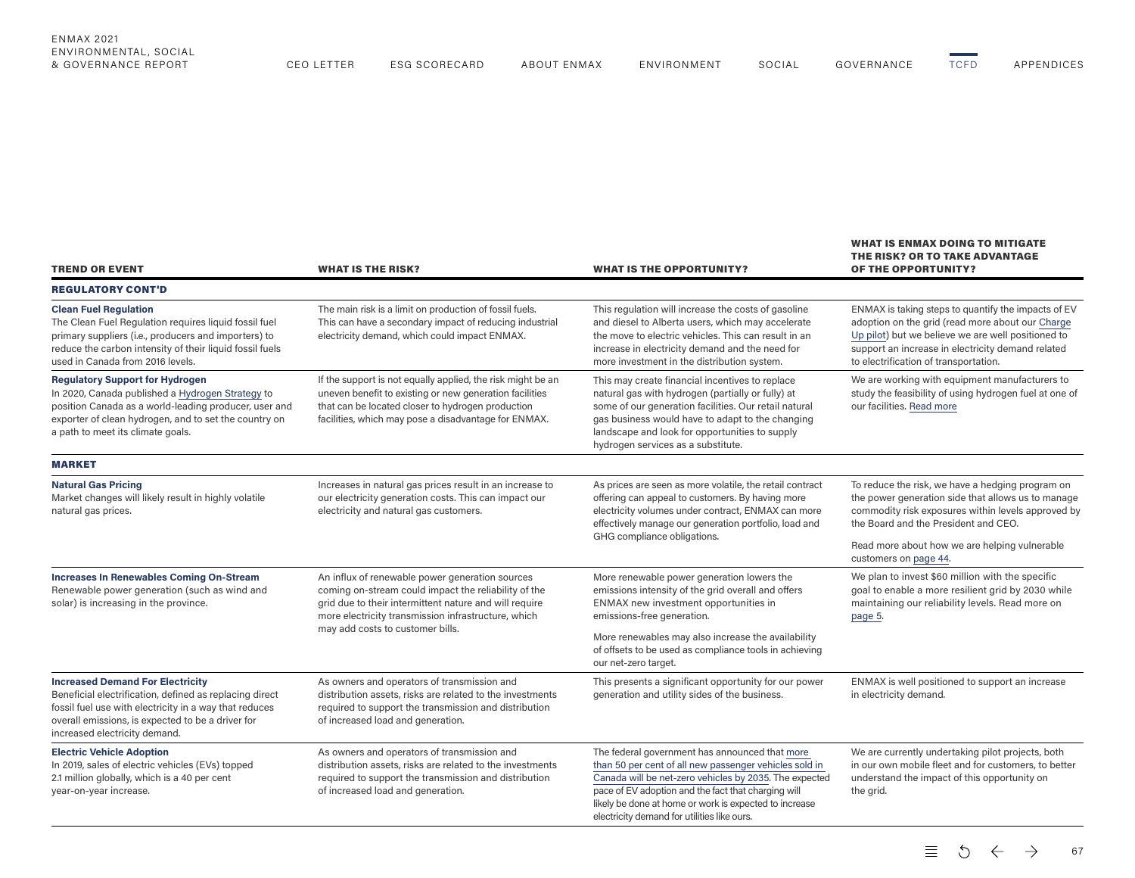| <b>TREND OR EVENT</b>                                                                                                                                                                                                                              | <b>WHAT IS THE RISK?</b>                                                                                                                                                                                                                                                                                         | <b>WHAT IS THE OPPORTUNITY?</b>                                                                                                                                                                                                                                                                                                    | <b>WHAT IS ENMAX DOING TO MITIGATE</b><br>THE RISK? OR TO TAKE ADVANTAGE<br><b>OF THE OPPORTUNITY?</b>                                                                                                                                                      |  |
|----------------------------------------------------------------------------------------------------------------------------------------------------------------------------------------------------------------------------------------------------|------------------------------------------------------------------------------------------------------------------------------------------------------------------------------------------------------------------------------------------------------------------------------------------------------------------|------------------------------------------------------------------------------------------------------------------------------------------------------------------------------------------------------------------------------------------------------------------------------------------------------------------------------------|-------------------------------------------------------------------------------------------------------------------------------------------------------------------------------------------------------------------------------------------------------------|--|
| <b>REGULATORY CONT'D</b>                                                                                                                                                                                                                           |                                                                                                                                                                                                                                                                                                                  |                                                                                                                                                                                                                                                                                                                                    |                                                                                                                                                                                                                                                             |  |
| <b>Clean Fuel Regulation</b><br>The Clean Fuel Regulation requires liquid fossil fuel<br>primary suppliers (i.e., producers and importers) to<br>reduce the carbon intensity of their liquid fossil fuels<br>used in Canada from 2016 levels.      | The main risk is a limit on production of fossil fuels.<br>This can have a secondary impact of reducing industrial<br>electricity demand, which could impact ENMAX.                                                                                                                                              | This regulation will increase the costs of gasoline<br>and diesel to Alberta users, which may accelerate<br>the move to electric vehicles. This can result in an<br>increase in electricity demand and the need for<br>more investment in the distribution system.                                                                 | ENMAX is taking steps to quantify the impacts of EV<br>adoption on the grid (read more about our Charge<br>Up pilot) but we believe we are well positioned to<br>support an increase in electricity demand related<br>to electrification of transportation. |  |
| <b>Regulatory Support for Hydrogen</b><br>In 2020, Canada published a Hydrogen Strategy to<br>position Canada as a world-leading producer, user and<br>exporter of clean hydrogen, and to set the country on<br>a path to meet its climate goals.  | If the support is not equally applied, the risk might be an<br>uneven benefit to existing or new generation facilities<br>that can be located closer to hydrogen production<br>facilities, which may pose a disadvantage for ENMAX.                                                                              | This may create financial incentives to replace<br>natural gas with hydrogen (partially or fully) at<br>some of our generation facilities. Our retail natural<br>gas business would have to adapt to the changing<br>landscape and look for opportunities to supply<br>hydrogen services as a substitute.                          | We are working with equipment manufacturers to<br>study the feasibility of using hydrogen fuel at one of<br>our facilities. Read more                                                                                                                       |  |
| <b>MARKET</b>                                                                                                                                                                                                                                      |                                                                                                                                                                                                                                                                                                                  |                                                                                                                                                                                                                                                                                                                                    |                                                                                                                                                                                                                                                             |  |
| <b>Natural Gas Pricing</b><br>Market changes will likely result in highly volatile<br>natural gas prices.                                                                                                                                          | Increases in natural gas prices result in an increase to<br>our electricity generation costs. This can impact our<br>electricity and natural gas customers.                                                                                                                                                      | As prices are seen as more volatile, the retail contract<br>offering can appeal to customers. By having more<br>electricity volumes under contract, ENMAX can more<br>effectively manage our generation portfolio, load and<br>GHG compliance obligations.                                                                         | To reduce the risk, we have a hedging program on<br>the power generation side that allows us to manage<br>commodity risk exposures within levels approved by<br>the Board and the President and CEO.                                                        |  |
|                                                                                                                                                                                                                                                    |                                                                                                                                                                                                                                                                                                                  |                                                                                                                                                                                                                                                                                                                                    | Read more about how we are helping vulnerable<br>customers on page 44.                                                                                                                                                                                      |  |
| <b>Increases In Renewables Coming On-Stream</b><br>Renewable power generation (such as wind and<br>solar) is increasing in the province.                                                                                                           | An influx of renewable power generation sources<br>coming on-stream could impact the reliability of the<br>grid due to their intermittent nature and will require<br>more electricity transmission infrastructure, which                                                                                         | More renewable power generation lowers the<br>emissions intensity of the grid overall and offers<br>ENMAX new investment opportunities in<br>emissions-free generation.                                                                                                                                                            | We plan to invest \$60 million with the specific<br>goal to enable a more resilient grid by 2030 while<br>maintaining our reliability levels. Read more on<br>page 5.                                                                                       |  |
|                                                                                                                                                                                                                                                    | may add costs to customer bills.                                                                                                                                                                                                                                                                                 | More renewables may also increase the availability<br>of offsets to be used as compliance tools in achieving<br>our net-zero target.                                                                                                                                                                                               |                                                                                                                                                                                                                                                             |  |
| <b>Increased Demand For Electricity</b><br>Beneficial electrification, defined as replacing direct<br>fossil fuel use with electricity in a way that reduces<br>overall emissions, is expected to be a driver for<br>increased electricity demand. | As owners and operators of transmission and<br>This presents a significant opportunity for our power<br>distribution assets, risks are related to the investments<br>generation and utility sides of the business.<br>required to support the transmission and distribution<br>of increased load and generation. |                                                                                                                                                                                                                                                                                                                                    | ENMAX is well positioned to support an increase<br>in electricity demand.                                                                                                                                                                                   |  |
| <b>Electric Vehicle Adoption</b><br>In 2019, sales of electric vehicles (EVs) topped<br>2.1 million globally, which is a 40 per cent<br>year-on-year increase.                                                                                     | As owners and operators of transmission and<br>distribution assets, risks are related to the investments<br>required to support the transmission and distribution<br>of increased load and generation.                                                                                                           | The federal government has announced that more<br>than 50 per cent of all new passenger vehicles sold in<br>Canada will be net-zero vehicles by 2035. The expected<br>pace of EV adoption and the fact that charging will<br>likely be done at home or work is expected to increase<br>electricity demand for utilities like ours. | We are currently undertaking pilot projects, both<br>in our own mobile fleet and for customers, to better<br>understand the impact of this opportunity on<br>the grid.                                                                                      |  |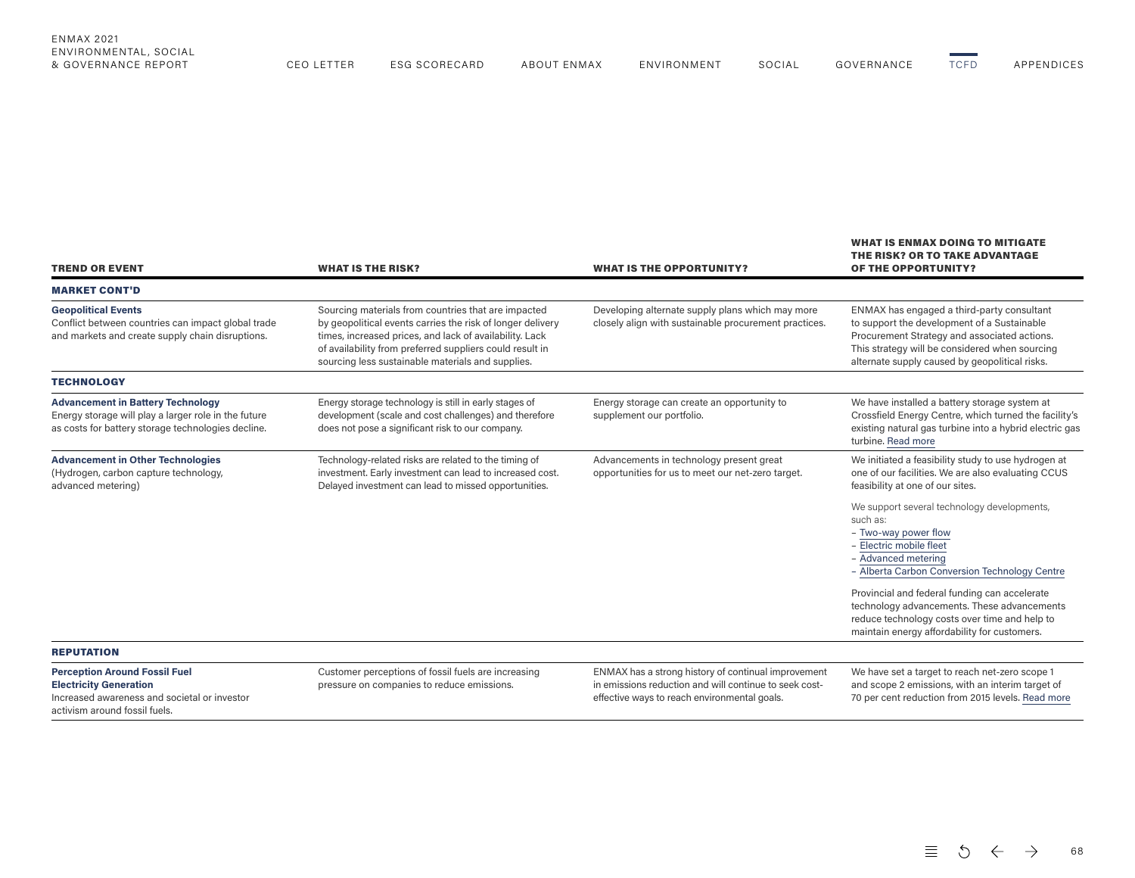| ENMAX                   |               |                |             |       |        |                      |                                             |
|-------------------------|---------------|----------------|-------------|-------|--------|----------------------|---------------------------------------------|
| ENVIRONMENTAL<br>-socir |               |                |             |       |        |                      |                                             |
| & GOVERNANCE REPORT     | ECARD<br>- 90 | ABOUT<br>ENMAX | FNVIRONMENT | SOCIA | 2017 E | $T^{\sim}$<br>$\sim$ | $\wedge$ DDENIN' $\wedge$ $\wedge$ $\wedge$ |

| <b>TREND OR EVENT</b>                                                                                                                                  | <b>WHAT IS THE RISK?</b>                                                                                                                                                                                                                                                                      | <b>WHAT IS THE OPPORTUNITY?</b>                                                                                                                               | <b>WHAT IS ENMAX DOING TO MITIGATE</b><br>THE RISK? OR TO TAKE ADVANTAGE<br><b>OF THE OPPORTUNITY?</b>                                                                                                                                                                                                                                                                                                                                                                                                                               |
|--------------------------------------------------------------------------------------------------------------------------------------------------------|-----------------------------------------------------------------------------------------------------------------------------------------------------------------------------------------------------------------------------------------------------------------------------------------------|---------------------------------------------------------------------------------------------------------------------------------------------------------------|--------------------------------------------------------------------------------------------------------------------------------------------------------------------------------------------------------------------------------------------------------------------------------------------------------------------------------------------------------------------------------------------------------------------------------------------------------------------------------------------------------------------------------------|
| <b>MARKET CONT'D</b>                                                                                                                                   |                                                                                                                                                                                                                                                                                               |                                                                                                                                                               |                                                                                                                                                                                                                                                                                                                                                                                                                                                                                                                                      |
| <b>Geopolitical Events</b><br>Conflict between countries can impact global trade<br>and markets and create supply chain disruptions.                   | Sourcing materials from countries that are impacted<br>by geopolitical events carries the risk of longer delivery<br>times, increased prices, and lack of availability. Lack<br>of availability from preferred suppliers could result in<br>sourcing less sustainable materials and supplies. | Developing alternate supply plans which may more<br>closely align with sustainable procurement practices.                                                     | ENMAX has engaged a third-party consultant<br>to support the development of a Sustainable<br>Procurement Strategy and associated actions.<br>This strategy will be considered when sourcing<br>alternate supply caused by geopolitical risks.                                                                                                                                                                                                                                                                                        |
| <b>TECHNOLOGY</b>                                                                                                                                      |                                                                                                                                                                                                                                                                                               |                                                                                                                                                               |                                                                                                                                                                                                                                                                                                                                                                                                                                                                                                                                      |
| <b>Advancement in Battery Technology</b><br>Energy storage will play a larger role in the future<br>as costs for battery storage technologies decline. | Energy storage technology is still in early stages of<br>development (scale and cost challenges) and therefore<br>does not pose a significant risk to our company.                                                                                                                            | Energy storage can create an opportunity to<br>supplement our portfolio.                                                                                      | We have installed a battery storage system at<br>Crossfield Energy Centre, which turned the facility's<br>existing natural gas turbine into a hybrid electric gas<br>turbine. Read more                                                                                                                                                                                                                                                                                                                                              |
| <b>Advancement in Other Technologies</b><br>(Hydrogen, carbon capture technology,<br>advanced metering)                                                | Technology-related risks are related to the timing of<br>investment. Early investment can lead to increased cost.<br>Delayed investment can lead to missed opportunities.                                                                                                                     | Advancements in technology present great<br>opportunities for us to meet our net-zero target.                                                                 | We initiated a feasibility study to use hydrogen at<br>one of our facilities. We are also evaluating CCUS<br>feasibility at one of our sites.<br>We support several technology developments,<br>such as:<br>- Two-way power flow<br>- Electric mobile fleet<br>- Advanced metering<br>- Alberta Carbon Conversion Technology Centre<br>Provincial and federal funding can accelerate<br>technology advancements. These advancements<br>reduce technology costs over time and help to<br>maintain energy affordability for customers. |
| <b>REPUTATION</b>                                                                                                                                      |                                                                                                                                                                                                                                                                                               |                                                                                                                                                               |                                                                                                                                                                                                                                                                                                                                                                                                                                                                                                                                      |
| <b>Perception Around Fossil Fuel</b><br><b>Electricity Generation</b><br>Increased awareness and societal or investor<br>activism around fossil fuels. | Customer perceptions of fossil fuels are increasing<br>pressure on companies to reduce emissions.                                                                                                                                                                                             | ENMAX has a strong history of continual improvement<br>in emissions reduction and will continue to seek cost-<br>effective ways to reach environmental goals. | We have set a target to reach net-zero scope 1<br>and scope 2 emissions, with an interim target of<br>70 per cent reduction from 2015 levels. Read more                                                                                                                                                                                                                                                                                                                                                                              |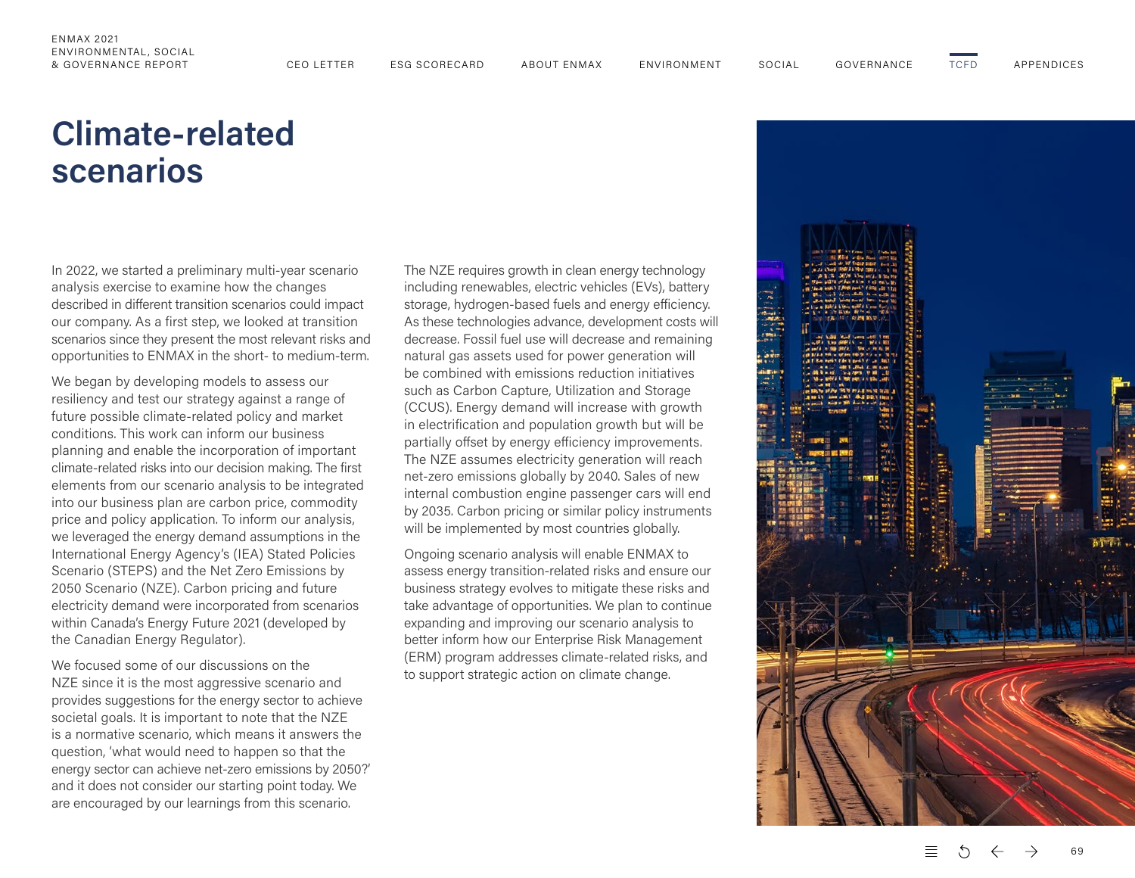# <span id="page-7-0"></span>**Climate-related scenarios**

In 2022, we started a preliminary multi-year scenario analysis exercise to examine how the changes described in different transition scenarios could impact our company. As a first step, we looked at transition scenarios since they present the most relevant risks and opportunities to ENMAX in the short- to medium-term.

We began by developing models to assess our resiliency and test our strategy against a range of future possible climate-related policy and market conditions. This work can inform our business planning and enable the incorporation of important climate-related risks into our decision making. The first elements from our scenario analysis to be integrated into our business plan are carbon price, commodity price and policy application. To inform our analysis, we leveraged the energy demand assumptions in the International Energy Agency's (IEA) Stated Policies Scenario (STEPS) and the Net Zero Emissions by 2050 Scenario (NZE). Carbon pricing and future electricity demand were incorporated from scenarios within Canada's Energy Future 2021 (developed by the Canadian Energy Regulator).

We focused some of our discussions on the NZE since it is the most aggressive scenario and provides suggestions for the energy sector to achieve societal goals. It is important to note that the NZE is a normative scenario, which means it answers the question, 'what would need to happen so that the energy sector can achieve net-zero emissions by 2050?' and it does not consider our starting point today. We are encouraged by our learnings from this scenario.

The NZE requires growth in clean energy technology including renewables, electric vehicles (EVs), battery storage, hydrogen-based fuels and energy efficiency. As these technologies advance, development costs will decrease. Fossil fuel use will decrease and remaining natural gas assets used for power generation will be combined with emissions reduction initiatives such as Carbon Capture, Utilization and Storage (CCUS). Energy demand will increase with growth in electrification and population growth but will be partially offset by energy efficiency improvements. The NZE assumes electricity generation will reach net-zero emissions globally by 2040. Sales of new internal combustion engine passenger cars will end by 2035. Carbon pricing or similar policy instruments will be implemented by most countries globally.

Ongoing scenario analysis will enable ENMAX to assess energy transition-related risks and ensure our business strategy evolves to mitigate these risks and take advantage of opportunities. We plan to continue expanding and improving our scenario analysis to better inform how our Enterprise Risk Management (ERM) program addresses climate-related risks, and to support strategic action on climate change.